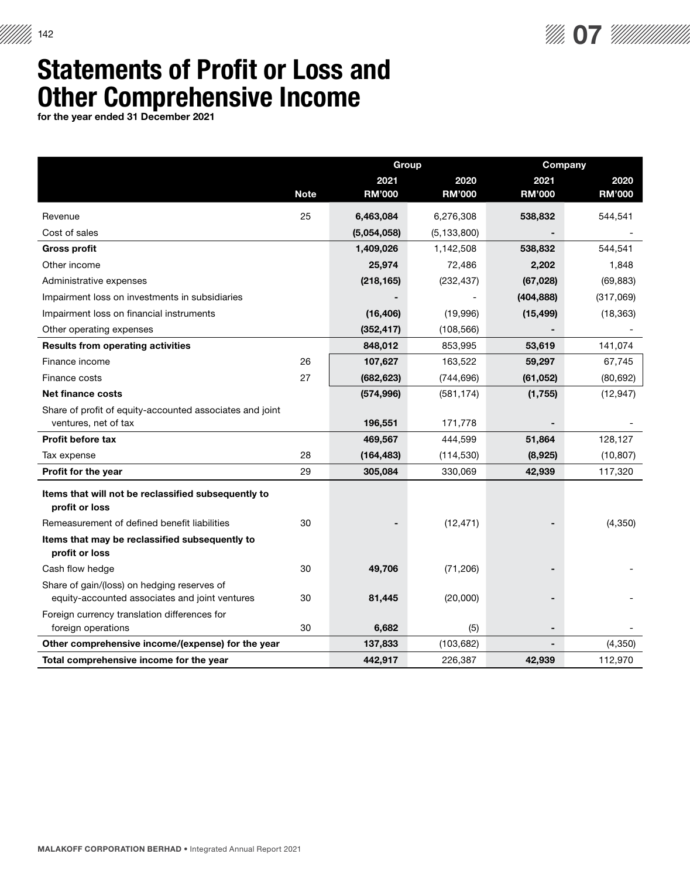

## Statements of Profit or Loss and Other Comprehensive Income

for the year ended 31 December 2021

|                                                                                               |             | <b>Group</b>  |               | Company       |               |
|-----------------------------------------------------------------------------------------------|-------------|---------------|---------------|---------------|---------------|
|                                                                                               |             | 2021          | 2020          | 2021          | 2020          |
|                                                                                               | <b>Note</b> | <b>RM'000</b> | <b>RM'000</b> | <b>RM'000</b> | <b>RM'000</b> |
| Revenue                                                                                       | 25          | 6,463,084     | 6,276,308     | 538,832       | 544,541       |
| Cost of sales                                                                                 |             | (5,054,058)   | (5, 133, 800) |               |               |
| <b>Gross profit</b>                                                                           |             | 1,409,026     | 1,142,508     | 538,832       | 544,541       |
| Other income                                                                                  |             | 25,974        | 72,486        | 2,202         | 1,848         |
| Administrative expenses                                                                       |             | (218, 165)    | (232, 437)    | (67, 028)     | (69, 883)     |
| Impairment loss on investments in subsidiaries                                                |             |               |               | (404, 888)    | (317,069)     |
| Impairment loss on financial instruments                                                      |             | (16, 406)     | (19,996)      | (15, 499)     | (18, 363)     |
| Other operating expenses                                                                      |             | (352, 417)    | (108, 566)    |               |               |
| <b>Results from operating activities</b>                                                      |             | 848,012       | 853,995       | 53,619        | 141,074       |
| Finance income                                                                                | 26          | 107,627       | 163,522       | 59,297        | 67,745        |
| Finance costs                                                                                 | 27          | (682, 623)    | (744, 696)    | (61, 052)     | (80, 692)     |
| <b>Net finance costs</b>                                                                      |             | (574, 996)    | (581, 174)    | (1,755)       | (12, 947)     |
| Share of profit of equity-accounted associates and joint                                      |             |               |               |               |               |
| ventures, net of tax                                                                          |             | 196,551       | 171,778       |               |               |
| <b>Profit before tax</b>                                                                      |             | 469,567       | 444,599       | 51,864        | 128,127       |
| Tax expense                                                                                   | 28          | (164, 483)    | (114, 530)    | (8,925)       | (10, 807)     |
| Profit for the year                                                                           | 29          | 305,084       | 330,069       | 42,939        | 117,320       |
| Items that will not be reclassified subsequently to<br>profit or loss                         |             |               |               |               |               |
| Remeasurement of defined benefit liabilities                                                  | 30          |               | (12, 471)     |               | (4, 350)      |
| Items that may be reclassified subsequently to<br>profit or loss                              |             |               |               |               |               |
| Cash flow hedge                                                                               | 30          | 49,706        | (71, 206)     |               |               |
| Share of gain/(loss) on hedging reserves of<br>equity-accounted associates and joint ventures | 30          | 81,445        | (20,000)      |               |               |
| Foreign currency translation differences for<br>foreign operations                            | 30          | 6,682         | (5)           |               |               |
| Other comprehensive income/(expense) for the year                                             |             | 137,833       | (103, 682)    |               | (4,350)       |
| Total comprehensive income for the year                                                       |             | 442,917       | 226,387       | 42,939        | 112,970       |